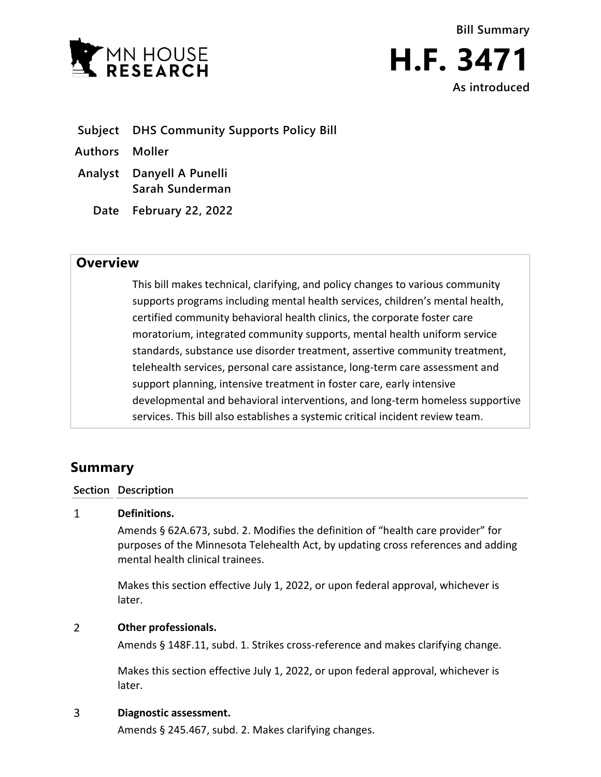



- **Subject DHS Community Supports Policy Bill**
- **Authors Moller**
- **Analyst Danyell A Punelli Sarah Sunderman**
	- **Date February 22, 2022**

## **Overview**

This bill makes technical, clarifying, and policy changes to various community supports programs including mental health services, children's mental health, certified community behavioral health clinics, the corporate foster care moratorium, integrated community supports, mental health uniform service standards, substance use disorder treatment, assertive community treatment, telehealth services, personal care assistance, long-term care assessment and support planning, intensive treatment in foster care, early intensive developmental and behavioral interventions, and long-term homeless supportive services. This bill also establishes a systemic critical incident review team.

# **Summary**

### **Section Description**

#### $\mathbf{1}$ **Definitions.**

Amends § 62A.673, subd. 2. Modifies the definition of "health care provider" for purposes of the Minnesota Telehealth Act, by updating cross references and adding mental health clinical trainees.

Makes this section effective July 1, 2022, or upon federal approval, whichever is later.

#### $\overline{2}$ **Other professionals.**

Amends § 148F.11, subd. 1. Strikes cross-reference and makes clarifying change.

Makes this section effective July 1, 2022, or upon federal approval, whichever is later.

#### 3 **Diagnostic assessment.**

Amends § 245.467, subd. 2. Makes clarifying changes.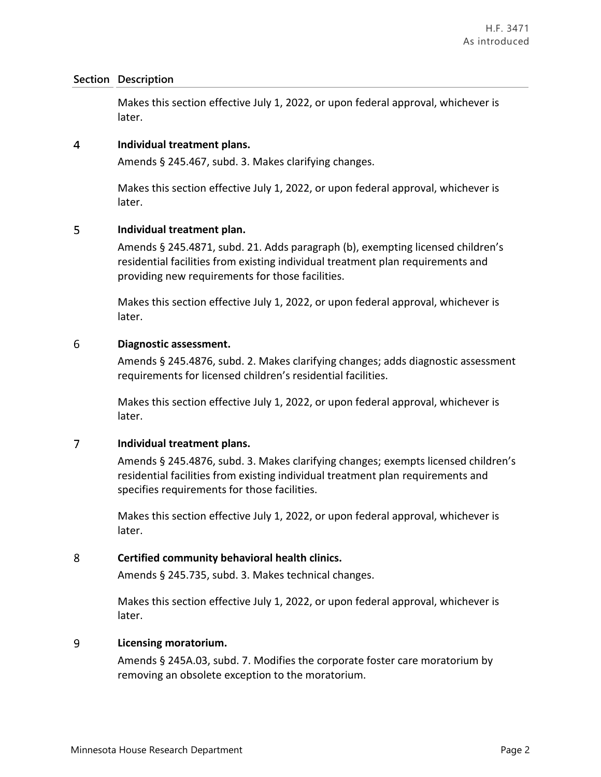Makes this section effective July 1, 2022, or upon federal approval, whichever is later.

#### $\overline{4}$ **Individual treatment plans.**

Amends § 245.467, subd. 3. Makes clarifying changes.

Makes this section effective July 1, 2022, or upon federal approval, whichever is later.

#### 5 **Individual treatment plan.**

Amends § 245.4871, subd. 21. Adds paragraph (b), exempting licensed children's residential facilities from existing individual treatment plan requirements and providing new requirements for those facilities.

Makes this section effective July 1, 2022, or upon federal approval, whichever is later.

#### 6 **Diagnostic assessment.**

Amends § 245.4876, subd. 2. Makes clarifying changes; adds diagnostic assessment requirements for licensed children's residential facilities.

Makes this section effective July 1, 2022, or upon federal approval, whichever is later.

#### $\overline{7}$ **Individual treatment plans.**

Amends § 245.4876, subd. 3. Makes clarifying changes; exempts licensed children's residential facilities from existing individual treatment plan requirements and specifies requirements for those facilities.

Makes this section effective July 1, 2022, or upon federal approval, whichever is later.

#### 8 **Certified community behavioral health clinics.**

Amends § 245.735, subd. 3. Makes technical changes.

Makes this section effective July 1, 2022, or upon federal approval, whichever is later.

#### 9 **Licensing moratorium.**

Amends § 245A.03, subd. 7. Modifies the corporate foster care moratorium by removing an obsolete exception to the moratorium.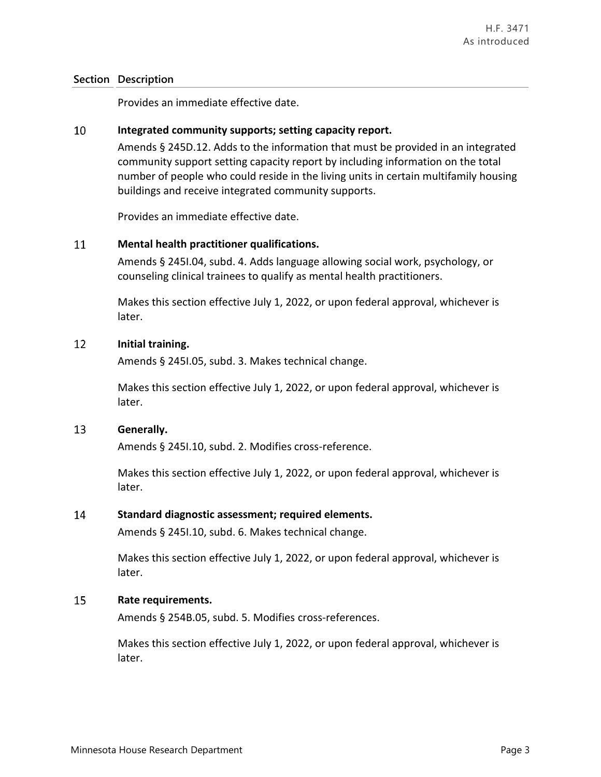Provides an immediate effective date.

#### 10 **Integrated community supports; setting capacity report.**

Amends § 245D.12. Adds to the information that must be provided in an integrated community support setting capacity report by including information on the total number of people who could reside in the living units in certain multifamily housing buildings and receive integrated community supports.

Provides an immediate effective date.

#### 11 **Mental health practitioner qualifications.**

Amends § 245I.04, subd. 4. Adds language allowing social work, psychology, or counseling clinical trainees to qualify as mental health practitioners.

Makes this section effective July 1, 2022, or upon federal approval, whichever is later.

#### 12 **Initial training.**

Amends § 245I.05, subd. 3. Makes technical change.

Makes this section effective July 1, 2022, or upon federal approval, whichever is later.

#### 13 **Generally.**

Amends § 245I.10, subd. 2. Modifies cross-reference.

Makes this section effective July 1, 2022, or upon federal approval, whichever is later.

#### 14 **Standard diagnostic assessment; required elements.**

Amends § 245I.10, subd. 6. Makes technical change.

Makes this section effective July 1, 2022, or upon federal approval, whichever is later.

#### 15 **Rate requirements.**

Amends § 254B.05, subd. 5. Modifies cross-references.

Makes this section effective July 1, 2022, or upon federal approval, whichever is later.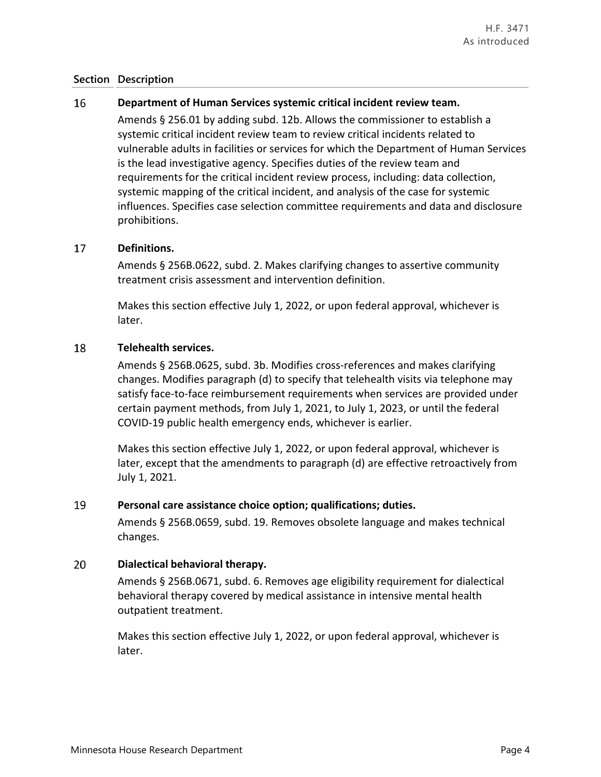#### 16 **Department of Human Services systemic critical incident review team.**

Amends § 256.01 by adding subd. 12b. Allows the commissioner to establish a systemic critical incident review team to review critical incidents related to vulnerable adults in facilities or services for which the Department of Human Services is the lead investigative agency. Specifies duties of the review team and requirements for the critical incident review process, including: data collection, systemic mapping of the critical incident, and analysis of the case for systemic influences. Specifies case selection committee requirements and data and disclosure prohibitions.

#### 17 **Definitions.**

Amends § 256B.0622, subd. 2. Makes clarifying changes to assertive community treatment crisis assessment and intervention definition.

Makes this section effective July 1, 2022, or upon federal approval, whichever is later.

#### 18 **Telehealth services.**

Amends § 256B.0625, subd. 3b. Modifies cross-references and makes clarifying changes. Modifies paragraph (d) to specify that telehealth visits via telephone may satisfy face-to-face reimbursement requirements when services are provided under certain payment methods, from July 1, 2021, to July 1, 2023, or until the federal COVID-19 public health emergency ends, whichever is earlier.

Makes this section effective July 1, 2022, or upon federal approval, whichever is later, except that the amendments to paragraph (d) are effective retroactively from July 1, 2021.

#### 19 **Personal care assistance choice option; qualifications; duties.**

Amends § 256B.0659, subd. 19. Removes obsolete language and makes technical changes.

#### 20 **Dialectical behavioral therapy.**

Amends § 256B.0671, subd. 6. Removes age eligibility requirement for dialectical behavioral therapy covered by medical assistance in intensive mental health outpatient treatment.

Makes this section effective July 1, 2022, or upon federal approval, whichever is later.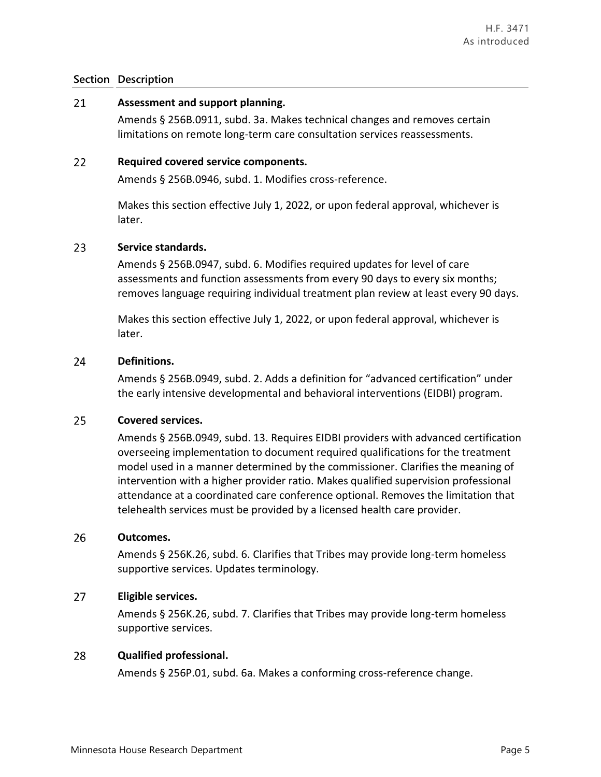#### 21 **Assessment and support planning.**

Amends § 256B.0911, subd. 3a. Makes technical changes and removes certain limitations on remote long-term care consultation services reassessments.

#### 22 **Required covered service components.**

Amends § 256B.0946, subd. 1. Modifies cross-reference.

Makes this section effective July 1, 2022, or upon federal approval, whichever is later.

#### 23 **Service standards.**

Amends § 256B.0947, subd. 6. Modifies required updates for level of care assessments and function assessments from every 90 days to every six months; removes language requiring individual treatment plan review at least every 90 days.

Makes this section effective July 1, 2022, or upon federal approval, whichever is later.

#### 24 **Definitions.**

Amends § 256B.0949, subd. 2. Adds a definition for "advanced certification" under the early intensive developmental and behavioral interventions (EIDBI) program.

#### 25 **Covered services.**

Amends § 256B.0949, subd. 13. Requires EIDBI providers with advanced certification overseeing implementation to document required qualifications for the treatment model used in a manner determined by the commissioner. Clarifies the meaning of intervention with a higher provider ratio. Makes qualified supervision professional attendance at a coordinated care conference optional. Removes the limitation that telehealth services must be provided by a licensed health care provider.

#### 26 **Outcomes.**

Amends § 256K.26, subd. 6. Clarifies that Tribes may provide long-term homeless supportive services. Updates terminology.

#### 27 **Eligible services.**

Amends § 256K.26, subd. 7. Clarifies that Tribes may provide long-term homeless supportive services.

#### 28 **Qualified professional.**

Amends § 256P.01, subd. 6a. Makes a conforming cross-reference change.